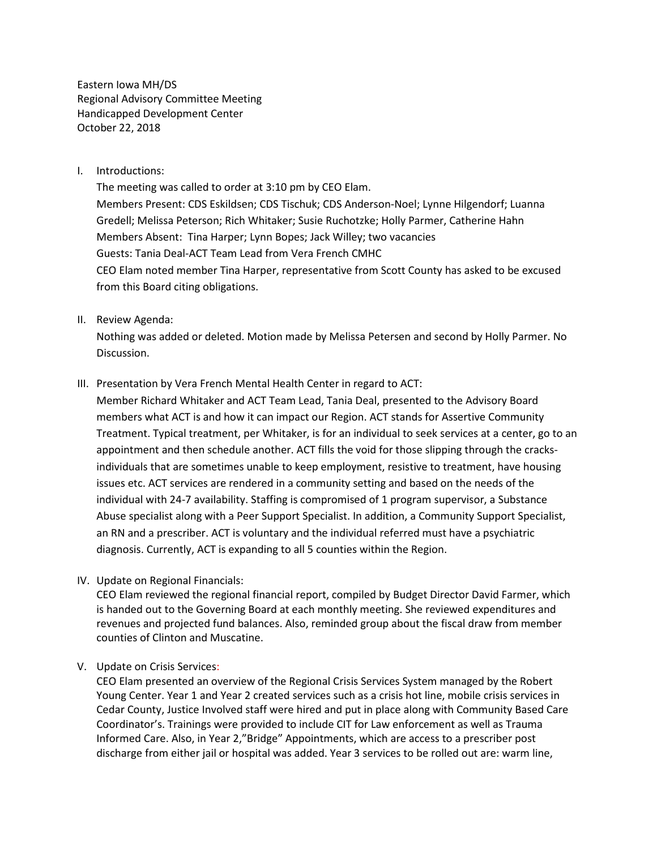Eastern Iowa MH/DS Regional Advisory Committee Meeting Handicapped Development Center October 22, 2018

I. Introductions:

The meeting was called to order at 3:10 pm by CEO Elam. Members Present: CDS Eskildsen; CDS Tischuk; CDS Anderson-Noel; Lynne Hilgendorf; Luanna Gredell; Melissa Peterson; Rich Whitaker; Susie Ruchotzke; Holly Parmer, Catherine Hahn Members Absent: Tina Harper; Lynn Bopes; Jack Willey; two vacancies Guests: Tania Deal-ACT Team Lead from Vera French CMHC CEO Elam noted member Tina Harper, representative from Scott County has asked to be excused from this Board citing obligations.

II. Review Agenda:

Nothing was added or deleted. Motion made by Melissa Petersen and second by Holly Parmer. No Discussion.

III. Presentation by Vera French Mental Health Center in regard to ACT:

Member Richard Whitaker and ACT Team Lead, Tania Deal, presented to the Advisory Board members what ACT is and how it can impact our Region. ACT stands for Assertive Community Treatment. Typical treatment, per Whitaker, is for an individual to seek services at a center, go to an appointment and then schedule another. ACT fills the void for those slipping through the cracksindividuals that are sometimes unable to keep employment, resistive to treatment, have housing issues etc. ACT services are rendered in a community setting and based on the needs of the individual with 24-7 availability. Staffing is compromised of 1 program supervisor, a Substance Abuse specialist along with a Peer Support Specialist. In addition, a Community Support Specialist, an RN and a prescriber. ACT is voluntary and the individual referred must have a psychiatric diagnosis. Currently, ACT is expanding to all 5 counties within the Region.

IV. Update on Regional Financials:

CEO Elam reviewed the regional financial report, compiled by Budget Director David Farmer, which is handed out to the Governing Board at each monthly meeting. She reviewed expenditures and revenues and projected fund balances. Also, reminded group about the fiscal draw from member counties of Clinton and Muscatine.

V. Update on Crisis Services:

CEO Elam presented an overview of the Regional Crisis Services System managed by the Robert Young Center. Year 1 and Year 2 created services such as a crisis hot line, mobile crisis services in Cedar County, Justice Involved staff were hired and put in place along with Community Based Care Coordinator's. Trainings were provided to include CIT for Law enforcement as well as Trauma Informed Care. Also, in Year 2,"Bridge" Appointments, which are access to a prescriber post discharge from either jail or hospital was added. Year 3 services to be rolled out are: warm line,